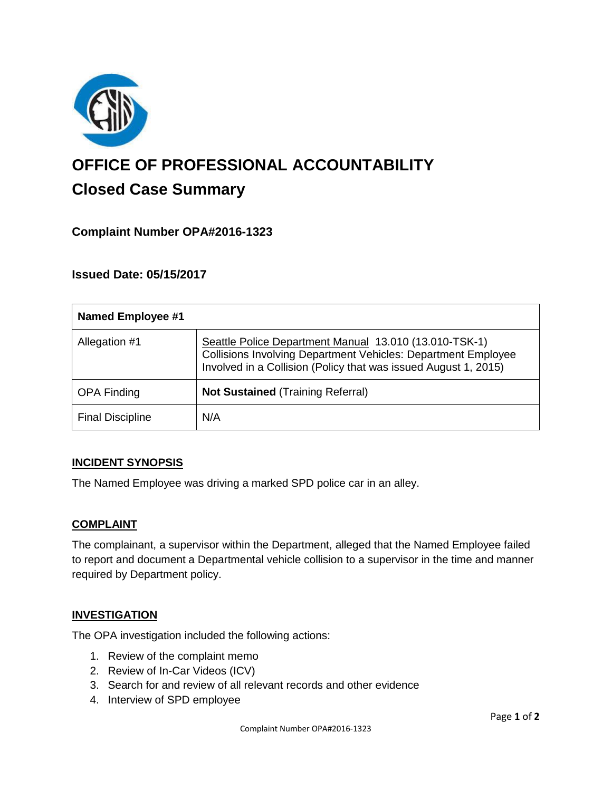

# **OFFICE OF PROFESSIONAL ACCOUNTABILITY Closed Case Summary**

## **Complaint Number OPA#2016-1323**

## **Issued Date: 05/15/2017**

| <b>Named Employee #1</b> |                                                                                                                                                                                                   |
|--------------------------|---------------------------------------------------------------------------------------------------------------------------------------------------------------------------------------------------|
| Allegation #1            | Seattle Police Department Manual 13.010 (13.010-TSK-1)<br><b>Collisions Involving Department Vehicles: Department Employee</b><br>Involved in a Collision (Policy that was issued August 1, 2015) |
| <b>OPA Finding</b>       | <b>Not Sustained (Training Referral)</b>                                                                                                                                                          |
| <b>Final Discipline</b>  | N/A                                                                                                                                                                                               |

#### **INCIDENT SYNOPSIS**

The Named Employee was driving a marked SPD police car in an alley.

#### **COMPLAINT**

The complainant, a supervisor within the Department, alleged that the Named Employee failed to report and document a Departmental vehicle collision to a supervisor in the time and manner required by Department policy.

#### **INVESTIGATION**

The OPA investigation included the following actions:

- 1. Review of the complaint memo
- 2. Review of In-Car Videos (ICV)
- 3. Search for and review of all relevant records and other evidence
- 4. Interview of SPD employee